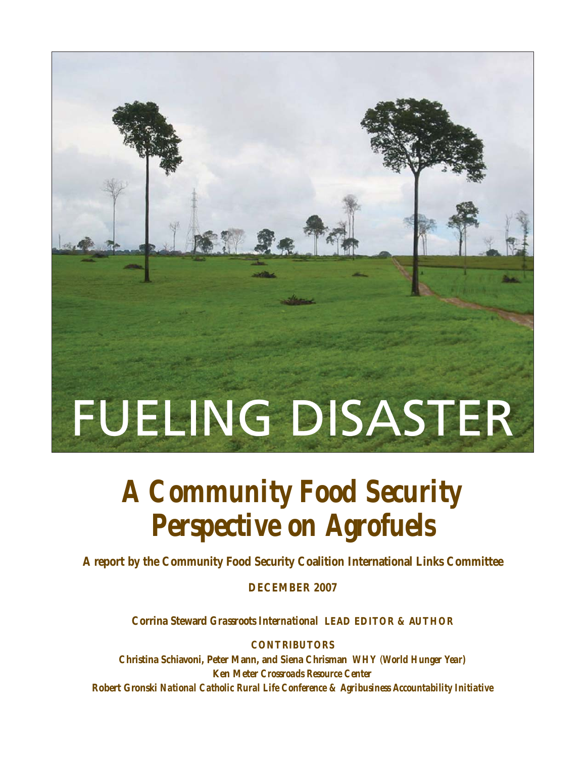# FUELING DISASTER

# *A Community Food Security Perspective on Agrofuels*

**A report by the Community Food Security Coalition International Links Committee**

**DECEMBER 2007**

**Corrina Steward** *Grassroots International* **LEAD EDITOR & AUTHOR**

**CONTRIBUTORS**

**Christina Schiavoni, Peter Mann, and Siena Chrisman** *WHY* (*World Hunger Year)* **Ken Meter** *Crossroads Resource Center* **Robert Gronski** *National Catholic Rural Life Conference & Agribusiness Accountability Initiative*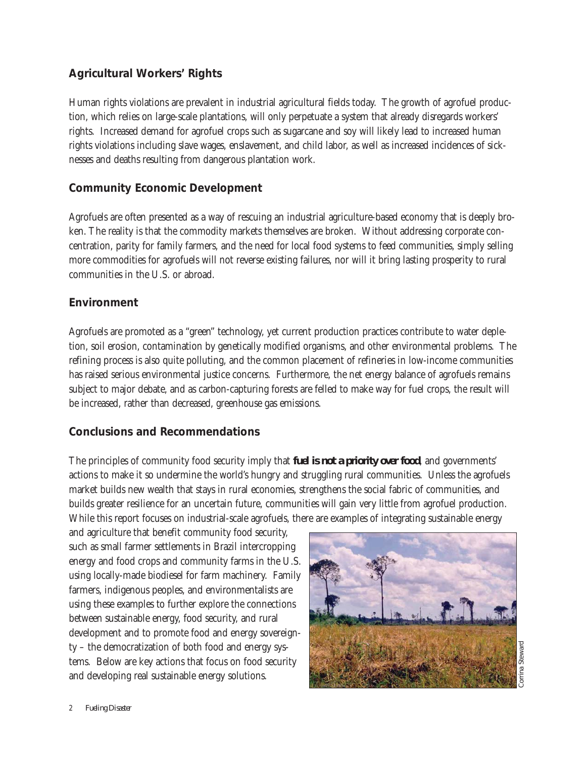# **Agricultural Workers' Rights**

Human rights violations are prevalent in industrial agricultural fields today. The growth of agrofuel production, which relies on large-scale plantations, will only perpetuate a system that already disregards workers' rights. Increased demand for agrofuel crops such as sugarcane and soy will likely lead to increased human rights violations including slave wages, enslavement, and child labor, as well as increased incidences of sicknesses and deaths resulting from dangerous plantation work.

# **Community Economic Development**

Agrofuels are often presented as a way of rescuing an industrial agriculture-based economy that is deeply broken. The reality is that the commodity markets themselves are broken. Without addressing corporate concentration, parity for family farmers, and the need for local food systems to feed communities, simply selling more commodities for agrofuels will not reverse existing failures, nor will it bring lasting prosperity to rural communities in the U.S. or abroad.

# **Environment**

Agrofuels are promoted as a "green" technology, yet current production practices contribute to water depletion, soil erosion, contamination by genetically modified organisms, and other environmental problems. The refining process is also quite polluting, and the common placement of refineries in low-income communities has raised serious environmental justice concerns. Furthermore, the net energy balance of agrofuels remains subject to major debate, and as carbon-capturing forests are felled to make way for fuel crops, the result will be increased, rather than decreased, greenhouse gas emissions.

# **Conclusions and Recommendations**

The principles of community food security imply that **fuel is not a priority over food**, and governments' actions to make it so undermine the world's hungry and struggling rural communities. Unless the agrofuels market builds new wealth that stays in rural economies, strengthens the social fabric of communities, and builds greater resilience for an uncertain future, communities will gain very little from agrofuel production. While this report focuses on industrial-scale agrofuels, there are examples of integrating sustainable energy

and agriculture that benefit community food security, such as small farmer settlements in Brazil intercropping energy and food crops and community farms in the U.S. using locally-made biodiesel for farm machinery. Family farmers, indigenous peoples, and environmentalists are using these examples to further explore the connections between sustainable energy, food security, and rural development and to promote food and energy sovereignty – the democratization of both food and energy systems. Below are key actions that focus on food security and developing real sustainable energy solutions.

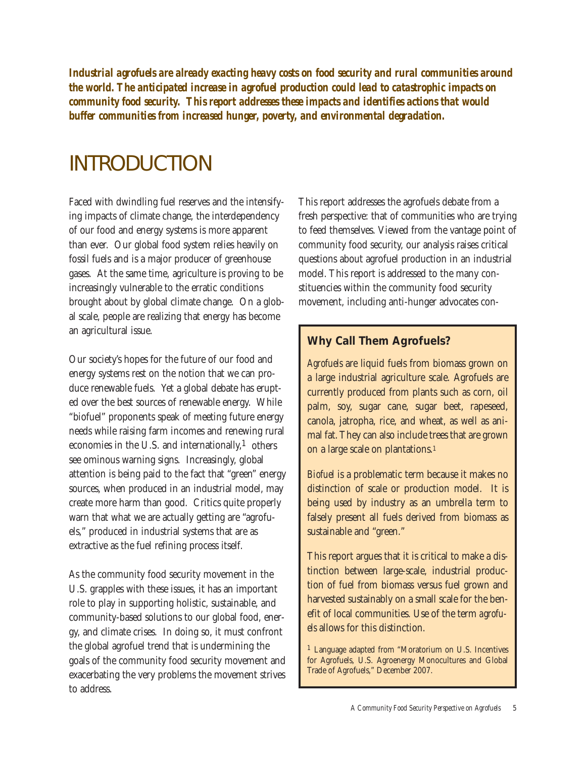*Industrial agrofuels are already exacting heavy costs on food security and rural communities around the world. The anticipated increase in agrofuel production could lead to catastrophic impacts on community food security. This report addresses these impacts and identifies actions that would buffer communities from increased hunger, poverty, and environmental degradation.*

# INTRODUCTION

Faced with dwindling fuel reserves and the intensifying impacts of climate change, the interdependency of our food and energy systems is more apparent than ever. Our global food system relies heavily on fossil fuels and is a major producer of greenhouse gases. At the same time, agriculture is proving to be increasingly vulnerable to the erratic conditions brought about by global climate change. On a global scale, people are realizing that energy has become an agricultural issue.

Our society's hopes for the future of our food and energy systems rest on the notion that we can produce renewable fuels. Yet a global debate has erupted over the best sources of renewable energy. While "biofuel" proponents speak of meeting future energy needs while raising farm incomes and renewing rural economies in the U.S. and internationally, $<sup>1</sup>$  others</sup> see ominous warning signs. Increasingly, global attention is being paid to the fact that "green" energy sources, when produced in an industrial model, may create more harm than good. Critics quite properly warn that what we are actually getting are "agrofuels," produced in industrial systems that are as extractive as the fuel refining process itself.

As the community food security movement in the U.S. grapples with these issues, it has an important role to play in supporting holistic, sustainable, and community-based solutions to our global food, energy, and climate crises. In doing so, it must confront the global agrofuel trend that is undermining the goals of the community food security movement and exacerbating the very problems the movement strives to address.

This report addresses the agrofuels debate from a fresh perspective: that of communities who are trying to feed themselves. Viewed from the vantage point of community food security, our analysis raises critical questions about agrofuel production in an industrial model. This report is addressed to the many constituencies within the community food security movement, including anti-hunger advocates con-

# **Why Call Them Agrofuels?**

*Agrofuels* are liquid fuels from biomass grown on a large industrial agriculture scale. Agrofuels are currently produced from plants such as corn, oil palm, soy, sugar cane, sugar beet, rapeseed, canola, jatropha, rice, and wheat, as well as animal fat. They can also include trees that are grown on a large scale on plantations.1

*Biofuel* is a problematic term because it makes no distinction of scale or production model. It is being used by industry as an umbrella term to falsely present all fuels derived from biomass as sustainable and "green."

This report argues that it is critical to make a distinction between large-scale, industrial production of fuel from biomass versus fuel grown and harvested sustainably on a small scale for the benefit of local communities. Use of the term *agrofuels* allows for this distinction.

1 Language adapted from "Moratorium on U.S. Incentives for Agrofuels, U.S. Agroenergy Monocultures and Global Trade of Agrofuels," December 2007.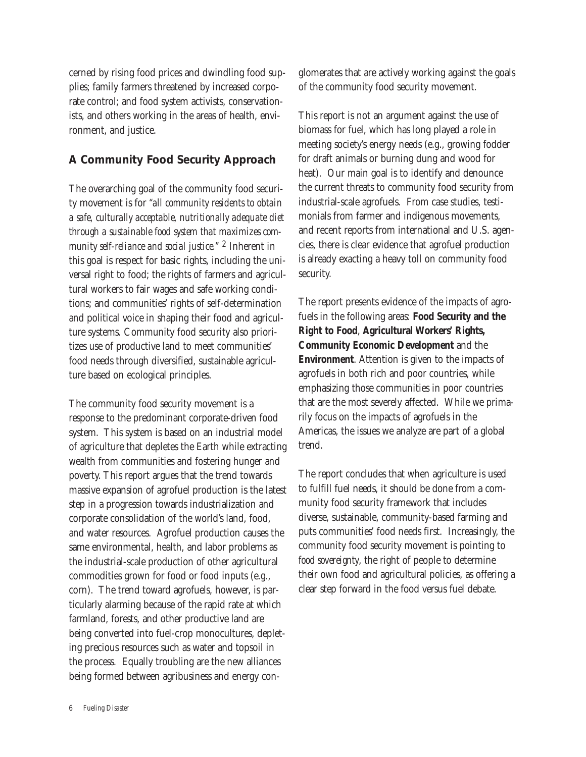cerned by rising food prices and dwindling food supplies; family farmers threatened by increased corporate control; and food system activists, conservationists, and others working in the areas of health, environment, and justice.

# **A Community Food Security Approach**

The overarching goal of the community food security movement is for *"all community residents to obtain a safe, culturally acceptable, nutritionally adequate diet through a sustainable food system that maximizes community self-reliance and social justice."* 2 Inherent in this goal is respect for basic rights, including the universal right to food; the rights of farmers and agricultural workers to fair wages and safe working conditions; and communities' rights of self-determination and political voice in shaping their food and agriculture systems. Community food security also prioritizes use of productive land to meet communities' food needs through diversified, sustainable agriculture based on ecological principles.

The community food security movement is a response to the predominant corporate-driven food system. This system is based on an industrial model of agriculture that depletes the Earth while extracting wealth from communities and fostering hunger and poverty. This report argues that the trend towards massive expansion of agrofuel production is the latest step in a progression towards industrialization and corporate consolidation of the world's land, food, and water resources. Agrofuel production causes the same environmental, health, and labor problems as the industrial-scale production of other agricultural commodities grown for food or food inputs (e.g., corn). The trend toward agrofuels, however, is particularly alarming because of the rapid rate at which farmland, forests, and other productive land are being converted into fuel-crop monocultures, depleting precious resources such as water and topsoil in the process. Equally troubling are the new alliances being formed between agribusiness and energy conglomerates that are actively working against the goals of the community food security movement.

This report is not an argument against the use of biomass for fuel, which has long played a role in meeting society's energy needs (e.g., growing fodder for draft animals or burning dung and wood for heat). Our main goal is to identify and denounce the current threats to community food security from industrial-scale agrofuels. From case studies, testimonials from farmer and indigenous movements, and recent reports from international and U.S. agencies, there is clear evidence that agrofuel production is already exacting a heavy toll on community food security.

The report presents evidence of the impacts of agrofuels in the following areas: **Food Security and the Right to Food**, **Agricultural Workers' Rights, Community Economic Development** and the **Environment**. Attention is given to the impacts of agrofuels in both rich and poor countries, while emphasizing those communities in poor countries that are the most severely affected. While we primarily focus on the impacts of agrofuels in the Americas, the issues we analyze are part of a global trend.

The report concludes that when agriculture is used to fulfill fuel needs, it should be done from a community food security framework that includes diverse, sustainable, community-based farming and puts communities' food needs first. Increasingly, the community food security movement is pointing to *food sovereignty*, the right of people to determine their own food and agricultural policies, as offering a clear step forward in the food versus fuel debate.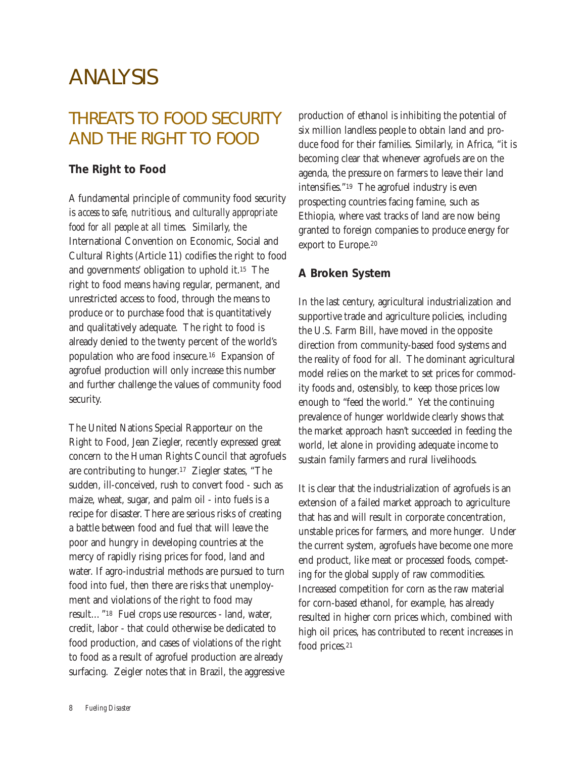# ANALYSIS

# THREATS TO FOOD SECURITY AND THE RIGHT TO FOOD

### **The Right to Food**

A fundamental principle of community food security is *access to safe, nutritious, and culturally appropriate food for all people at all times*. Similarly, the International Convention on Economic, Social and Cultural Rights (Article 11) codifies the right to food and governments' obligation to uphold it.15 The right to food means having regular, permanent, and unrestricted access to food, through the means to produce or to purchase food that is quantitatively and qualitatively adequate. The right to food is already denied to the twenty percent of the world's population who are food insecure.16 Expansion of agrofuel production will only increase this number and further challenge the values of community food security.

The United Nations Special Rapporteur on the Right to Food, Jean Ziegler, recently expressed great concern to the Human Rights Council that agrofuels are contributing to hunger.17 Ziegler states, "The sudden, ill-conceived, rush to convert food - such as maize, wheat, sugar, and palm oil - into fuels is a recipe for disaster. There are serious risks of creating a battle between food and fuel that will leave the poor and hungry in developing countries at the mercy of rapidly rising prices for food, land and water. If agro-industrial methods are pursued to turn food into fuel, then there are risks that unemployment and violations of the right to food may result…"18 Fuel crops use resources - land, water, credit, labor - that could otherwise be dedicated to food production, and cases of violations of the right to food as a result of agrofuel production are already surfacing. Zeigler notes that in Brazil, the aggressive

production of ethanol is inhibiting the potential of six million landless people to obtain land and produce food for their families. Similarly, in Africa, "it is becoming clear that whenever agrofuels are on the agenda, the pressure on farmers to leave their land intensifies."19 The agrofuel industry is even prospecting countries facing famine, such as Ethiopia, where vast tracks of land are now being granted to foreign companies to produce energy for export to Europe.20

### **A Broken System**

In the last century, agricultural industrialization and supportive trade and agriculture policies, including the U.S. Farm Bill, have moved in the opposite direction from community-based food systems and the reality of food for all. The dominant agricultural model relies on the market to set prices for commodity foods and, ostensibly, to keep those prices low enough to "feed the world." Yet the continuing prevalence of hunger worldwide clearly shows that the market approach hasn't succeeded in feeding the world, let alone in providing adequate income to sustain family farmers and rural livelihoods.

It is clear that the industrialization of agrofuels is an extension of a failed market approach to agriculture that has and will result in corporate concentration, unstable prices for farmers, and more hunger. Under the current system, agrofuels have become one more end product, like meat or processed foods, competing for the global supply of raw commodities. Increased competition for corn as the raw material for corn-based ethanol, for example, has already resulted in higher corn prices which, combined with high oil prices, has contributed to recent increases in food prices.21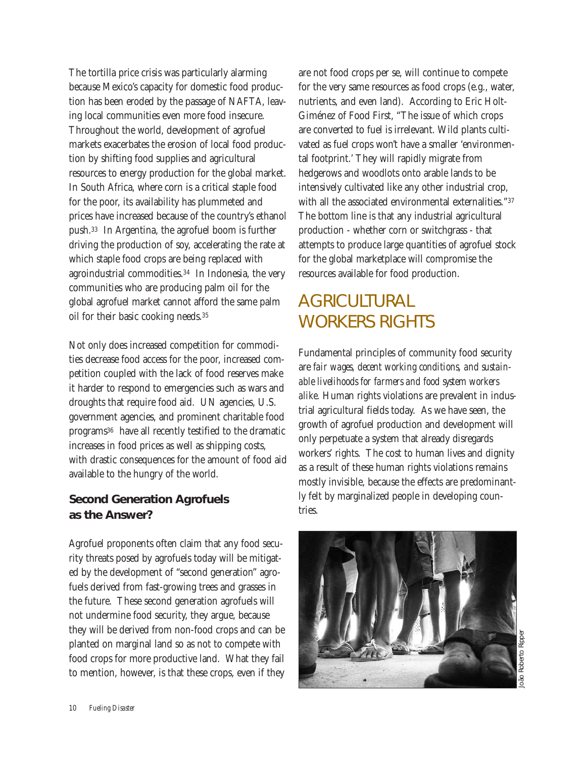The tortilla price crisis was particularly alarming because Mexico's capacity for domestic food production has been eroded by the passage of NAFTA, leaving local communities even more food insecure. Throughout the world, development of agrofuel markets exacerbates the erosion of local food production by shifting food supplies and agricultural resources to energy production for the global market. In South Africa, where corn is a critical staple food for the poor, its availability has plummeted and prices have increased because of the country's ethanol push.33 In Argentina, the agrofuel boom is further driving the production of soy, accelerating the rate at which staple food crops are being replaced with agroindustrial commodities.34 In Indonesia, the very communities who are producing palm oil for the global agrofuel market cannot afford the same palm oil for their basic cooking needs.35

Not only does increased competition for commodities decrease food access for the poor, increased competition coupled with the lack of food reserves make it harder to respond to emergencies such as wars and droughts that require food aid. UN agencies, U.S. government agencies, and prominent charitable food programs36 have all recently testified to the dramatic increases in food prices as well as shipping costs, with drastic consequences for the amount of food aid available to the hungry of the world.

# **Second Generation Agrofuels as the Answer?**

Agrofuel proponents often claim that any food security threats posed by agrofuels today will be mitigated by the development of "second generation" agrofuels derived from fast-growing trees and grasses in the future. These second generation agrofuels will not undermine food security, they argue, because they will be derived from non-food crops and can be planted on marginal land so as not to compete with food crops for more productive land. What they fail to mention, however, is that these crops, even if they

are not food crops per se, will continue to compete for the very same resources as food crops (e.g., water, nutrients, and even land). According to Eric Holt-Giménez of Food First, "The issue of which crops are converted to fuel is irrelevant. Wild plants cultivated as fuel crops won't have a smaller 'environmental footprint.' They will rapidly migrate from hedgerows and woodlots onto arable lands to be intensively cultivated like any other industrial crop, with all the associated environmental externalities."37 The bottom line is that any industrial agricultural production - whether corn or switchgrass - that attempts to produce large quantities of agrofuel stock for the global marketplace will compromise the resources available for food production.

# **AGRICULTURAL** WORKERS RIGHTS

Fundamental principles of community food security are *fair wages, decent working conditions, and sustainable livelihoods for farmers and food system workers alike.* Human rights violations are prevalent in industrial agricultural fields today. As we have seen, the growth of agrofuel production and development will only perpetuate a system that already disregards workers' rights. The cost to human lives and dignity as a result of these human rights violations remains mostly invisible, because the effects are predominantly felt by marginalized people in developing countries.

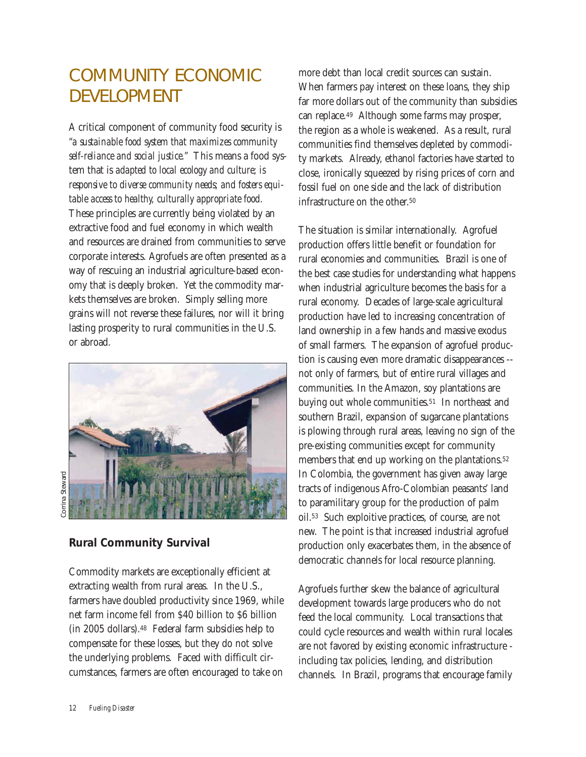# COMMUNITY ECONOMIC DEVELOPMENT

A critical component of community food security is *"a sustainable food system that maximizes community self-reliance and social justice."* This means a food system that is *adapted to local ecology and culture; is responsive to diverse community needs; and fosters equitable access to healthy, culturally appropriate food.* These principles are currently being violated by an extractive food and fuel economy in which wealth and resources are drained from communities to serve corporate interests. Agrofuels are often presented as a way of rescuing an industrial agriculture-based economy that is deeply broken. Yet the commodity markets themselves are broken. Simply selling more grains will not reverse these failures, nor will it bring lasting prosperity to rural communities in the U.S. or abroad.



orrina Steward Corrina Steward

### **Rural Community Survival**

Commodity markets are exceptionally efficient at extracting wealth from rural areas. In the U.S., farmers have doubled productivity since 1969, while net farm income fell from \$40 billion to \$6 billion (in 2005 dollars).48 Federal farm subsidies help to compensate for these losses, but they do not solve the underlying problems. Faced with difficult circumstances, farmers are often encouraged to take on

more debt than local credit sources can sustain. When farmers pay interest on these loans, they ship far more dollars out of the community than subsidies can replace.49 Although some farms may prosper, the region as a whole is weakened. As a result, rural communities find themselves depleted by commodity markets. Already, ethanol factories have started to close, ironically squeezed by rising prices of corn and fossil fuel on one side and the lack of distribution infrastructure on the other.<sup>50</sup>

The situation is similar internationally. Agrofuel production offers little benefit or foundation for rural economies and communities. Brazil is one of the best case studies for understanding what happens when industrial agriculture becomes the basis for a rural economy. Decades of large-scale agricultural production have led to increasing concentration of land ownership in a few hands and massive exodus of small farmers. The expansion of agrofuel production is causing even more dramatic disappearances - not only of farmers, but of entire rural villages and communities. In the Amazon, soy plantations are buying out whole communities.<sup>51</sup> In northeast and southern Brazil, expansion of sugarcane plantations is plowing through rural areas, leaving no sign of the pre-existing communities except for community members that end up working on the plantations.<sup>52</sup> In Colombia, the government has given away large tracts of indigenous Afro-Colombian peasants' land to paramilitary group for the production of palm oil.53 Such exploitive practices, of course, are not new. The point is that increased industrial agrofuel production only exacerbates them, in the absence of democratic channels for local resource planning.

Agrofuels further skew the balance of agricultural development towards large producers who do not feed the local community. Local transactions that could cycle resources and wealth within rural locales are not favored by existing economic infrastructure including tax policies, lending, and distribution channels. In Brazil, programs that encourage family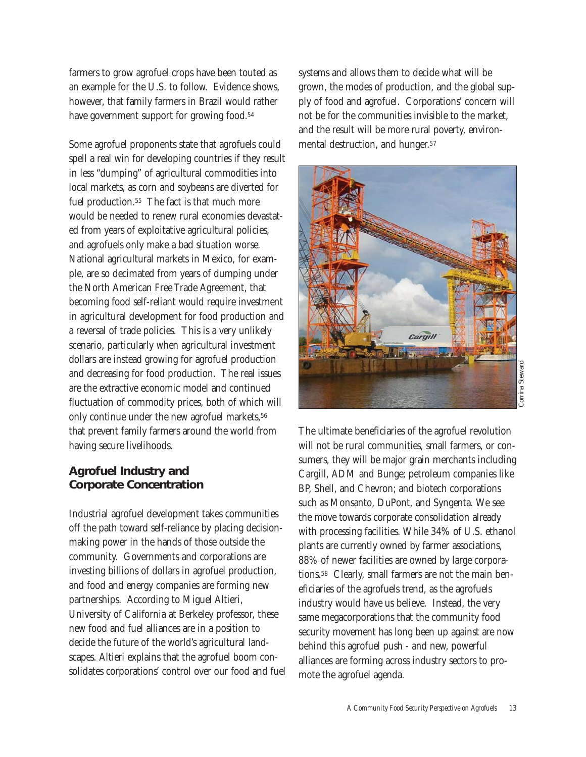farmers to grow agrofuel crops have been touted as an example for the U.S. to follow. Evidence shows, however, that family farmers in Brazil would rather have government support for growing food.<sup>54</sup>

Some agrofuel proponents state that agrofuels could spell a real win for developing countries if they result in less "dumping" of agricultural commodities into local markets, as corn and soybeans are diverted for fuel production.55 The fact is that much more would be needed to renew rural economies devastated from years of exploitative agricultural policies, and agrofuels only make a bad situation worse. National agricultural markets in Mexico, for example, are so decimated from years of dumping under the North American Free Trade Agreement, that becoming food self-reliant would require investment in agricultural development for food production and a reversal of trade policies. This is a very unlikely scenario, particularly when agricultural investment dollars are instead growing for agrofuel production and decreasing for food production. The real issues are the extractive economic model and continued fluctuation of commodity prices, both of which will only continue under the new agrofuel markets, 56 that prevent family farmers around the world from having secure livelihoods.

# **Agrofuel Industry and Corporate Concentration**

Industrial agrofuel development takes communities off the path toward self-reliance by placing decisionmaking power in the hands of those outside the community. Governments and corporations are investing billions of dollars in agrofuel production, and food and energy companies are forming new partnerships. According to Miguel Altieri, University of California at Berkeley professor, these new food and fuel alliances are in a position to decide the future of the world's agricultural landscapes. Altieri explains that the agrofuel boom consolidates corporations' control over our food and fuel

systems and allows them to decide what will be grown, the modes of production, and the global supply of food and agrofuel. Corporations' concern will not be for the communities invisible to the market, and the result will be more rural poverty, environmental destruction, and hunger.57



The ultimate beneficiaries of the agrofuel revolution will not be rural communities, small farmers, or consumers, they will be major grain merchants including Cargill, ADM and Bunge; petroleum companies like BP, Shell, and Chevron; and biotech corporations such as Monsanto, DuPont, and Syngenta. We see the move towards corporate consolidation already with processing facilities. While 34% of U.S. ethanol plants are currently owned by farmer associations, 88% of newer facilities are owned by large corporations.58 Clearly, small farmers are not the main beneficiaries of the agrofuels trend, as the agrofuels industry would have us believe. Instead, the very same megacorporations that the community food security movement has long been up against are now behind this agrofuel push - and new, powerful alliances are forming across industry sectors to promote the agrofuel agenda.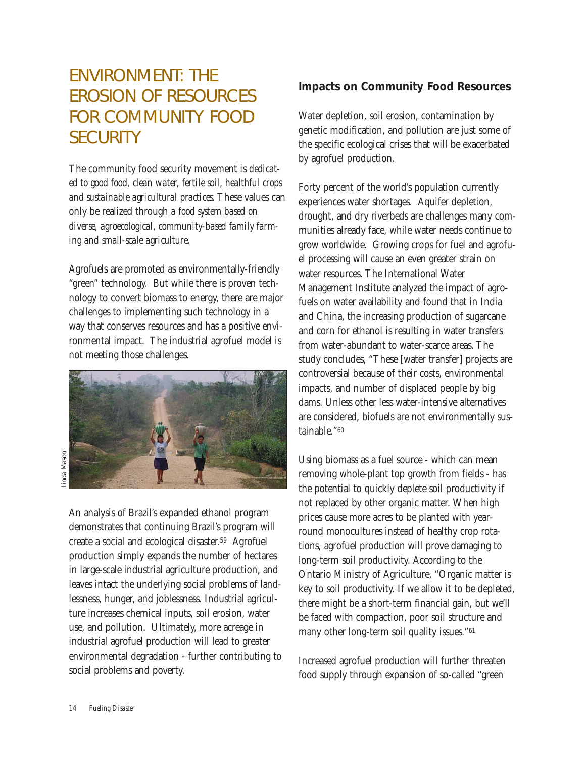# ENVIRONMENT: THE EROSION OF RESOURCES FOR COMMUNITY FOOD **SECURITY**

The community food security movement is *dedicated to good food, clean water, fertile soil, healthful crops and sustainable agricultural practices.* These values can only be realized through *a food system based on diverse, agroecological, community-based family farming and small-scale agriculture.*

Agrofuels are promoted as environmentally-friendly "green" technology. But while there is proven technology to convert biomass to energy, there are major challenges to implementing such technology in a way that conserves resources and has a positive environmental impact. The industrial agrofuel model is not meeting those challenges.



An analysis of Brazil's expanded ethanol program demonstrates that continuing Brazil's program will create a social and ecological disaster.59 Agrofuel production simply expands the number of hectares in large-scale industrial agriculture production, and leaves intact the underlying social problems of landlessness, hunger, and joblessness. Industrial agriculture increases chemical inputs, soil erosion, water use, and pollution. Ultimately, more acreage in industrial agrofuel production will lead to greater environmental degradation - further contributing to social problems and poverty.

# **Impacts on Community Food Resources**

Water depletion, soil erosion, contamination by genetic modification, and pollution are just some of the specific ecological crises that will be exacerbated by agrofuel production.

Forty percent of the world's population currently experiences water shortages. Aquifer depletion, drought, and dry riverbeds are challenges many communities already face, while water needs continue to grow worldwide. Growing crops for fuel and agrofuel processing will cause an even greater strain on water resources. The International Water Management Institute analyzed the impact of agrofuels on water availability and found that in India and China, the increasing production of sugarcane and corn for ethanol is resulting in water transfers from water-abundant to water-scarce areas. The study concludes, "These [water transfer] projects are controversial because of their costs, environmental impacts, and number of displaced people by big dams. Unless other less water-intensive alternatives are considered, biofuels are not environmentally sustainable."60

Using biomass as a fuel source - which can mean removing whole-plant top growth from fields - has the potential to quickly deplete soil productivity if not replaced by other organic matter. When high prices cause more acres to be planted with yearround monocultures instead of healthy crop rotations, agrofuel production will prove damaging to long-term soil productivity. According to the Ontario Ministry of Agriculture, "Organic matter is key to soil productivity. If we allow it to be depleted, there might be a short-term financial gain, but we'll be faced with compaction, poor soil structure and many other long-term soil quality issues."61

Increased agrofuel production will further threaten food supply through expansion of so-called "green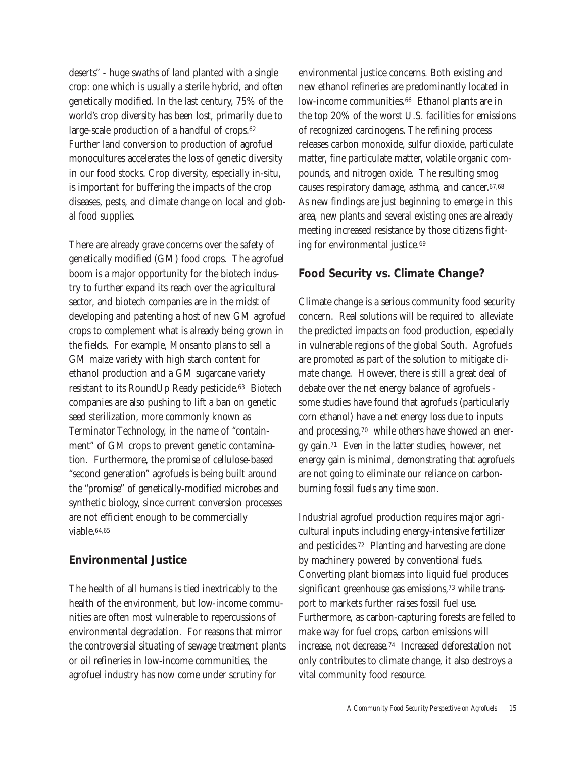deserts" - huge swaths of land planted with a single crop: one which is usually a sterile hybrid, and often genetically modified. In the last century, 75% of the world's crop diversity has been lost, primarily due to large-scale production of a handful of crops.62 Further land conversion to production of agrofuel monocultures accelerates the loss of genetic diversity in our food stocks. Crop diversity, especially in-situ, is important for buffering the impacts of the crop diseases, pests, and climate change on local and global food supplies.

There are already grave concerns over the safety of genetically modified (GM) food crops. The agrofuel boom is a major opportunity for the biotech industry to further expand its reach over the agricultural sector, and biotech companies are in the midst of developing and patenting a host of new GM agrofuel crops to complement what is already being grown in the fields. For example, Monsanto plans to sell a GM maize variety with high starch content for ethanol production and a GM sugarcane variety resistant to its RoundUp Ready pesticide.63 Biotech companies are also pushing to lift a ban on genetic seed sterilization, more commonly known as Terminator Technology, in the name of "containment" of GM crops to prevent genetic contamination. Furthermore, the promise of cellulose-based "second generation" agrofuels is being built around the "promise" of genetically-modified microbes and synthetic biology, since current conversion processes are not efficient enough to be commercially viable.64,65

### **Environmental Justice**

The health of all humans is tied inextricably to the health of the environment, but low-income communities are often most vulnerable to repercussions of environmental degradation. For reasons that mirror the controversial situating of sewage treatment plants or oil refineries in low-income communities, the agrofuel industry has now come under scrutiny for

environmental justice concerns. Both existing and new ethanol refineries are predominantly located in low-income communities.<sup>66</sup> Ethanol plants are in the top 20% of the worst U.S. facilities for emissions of recognized carcinogens. The refining process releases carbon monoxide, sulfur dioxide, particulate matter, fine particulate matter, volatile organic compounds, and nitrogen oxide. The resulting smog causes respiratory damage, asthma, and cancer.67,68 As new findings are just beginning to emerge in this area, new plants and several existing ones are already meeting increased resistance by those citizens fighting for environmental justice.69

# **Food Security vs. Climate Change?**

Climate change is a serious community food security concern. Real solutions will be required to alleviate the predicted impacts on food production, especially in vulnerable regions of the global South. Agrofuels are promoted as part of the solution to mitigate climate change. However, there is still a great deal of debate over the net energy balance of agrofuels some studies have found that agrofuels (particularly corn ethanol) have a net energy loss due to inputs and processing,70 while others have showed an energy gain.71 Even in the latter studies, however, net energy gain is minimal, demonstrating that agrofuels are not going to eliminate our reliance on carbonburning fossil fuels any time soon.

Industrial agrofuel production requires major agricultural inputs including energy-intensive fertilizer and pesticides.72 Planting and harvesting are done by machinery powered by conventional fuels. Converting plant biomass into liquid fuel produces significant greenhouse gas emissions,<sup>73</sup> while transport to markets further raises fossil fuel use. Furthermore, as carbon-capturing forests are felled to make way for fuel crops, carbon emissions will increase, not decrease.74 Increased deforestation not only contributes to climate change, it also destroys a vital community food resource.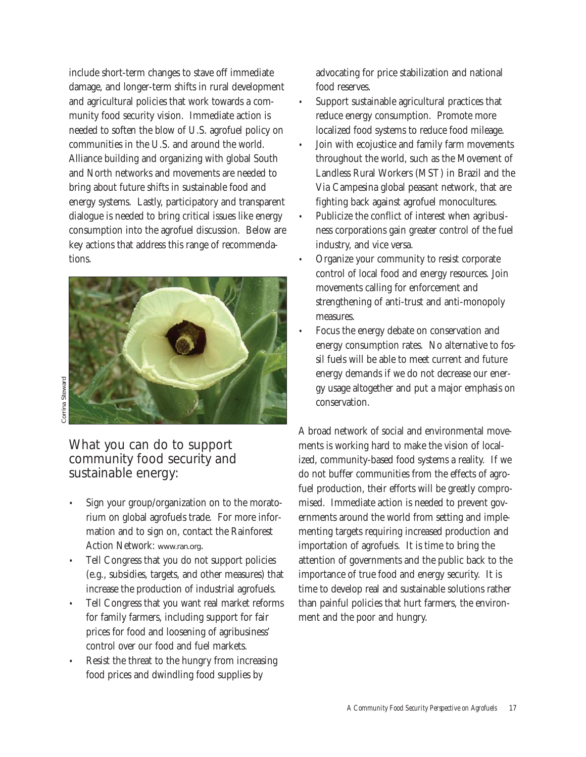include short-term changes to stave off immediate damage, and longer-term shifts in rural development and agricultural policies that work towards a community food security vision. Immediate action is needed to soften the blow of U.S. agrofuel policy on communities in the U.S. and around the world. Alliance building and organizing with global South and North networks and movements are needed to bring about future shifts in sustainable food and energy systems. Lastly, participatory and transparent dialogue is needed to bring critical issues like energy consumption into the agrofuel discussion. Below are key actions that address this range of recommendations.



Corrina Steward Corrina Steward

> What you can do to support community food security and sustainable energy:

- Sign your group/organization on to the moratorium on global agrofuels trade. For more information and to sign on, contact the Rainforest Action Network: *www.ran.org*.
- Tell Congress that you do not support policies (e.g., subsidies, targets, and other measures) that increase the production of industrial agrofuels.
- Tell Congress that you want real market reforms for family farmers, including support for fair prices for food and loosening of agribusiness' control over our food and fuel markets.
- Resist the threat to the hungry from increasing food prices and dwindling food supplies by

advocating for price stabilization and national food reserves.

- Support sustainable agricultural practices that reduce energy consumption. Promote more localized food systems to reduce food mileage.
- Join with ecojustice and family farm movements throughout the world, such as the Movement of Landless Rural Workers (MST) in Brazil and the Via Campesina global peasant network, that are fighting back against agrofuel monocultures.
- Publicize the conflict of interest when agribusiness corporations gain greater control of the fuel industry, and vice versa.
- Organize your community to resist corporate control of local food and energy resources. Join movements calling for enforcement and strengthening of anti-trust and anti-monopoly measures.
- Focus the energy debate on conservation and energy consumption rates. No alternative to fossil fuels will be able to meet current and future energy demands if we do not decrease our energy usage altogether and put a major emphasis on conservation.

A broad network of social and environmental movements is working hard to make the vision of localized, community-based food systems a reality. If we do not buffer communities from the effects of agrofuel production, their efforts will be greatly compromised. Immediate action is needed to prevent governments around the world from setting and implementing targets requiring increased production and importation of agrofuels. It is time to bring the attention of governments and the public back to the importance of true food and energy security. It is time to develop real and sustainable solutions rather than painful policies that hurt farmers, the environment and the poor and hungry.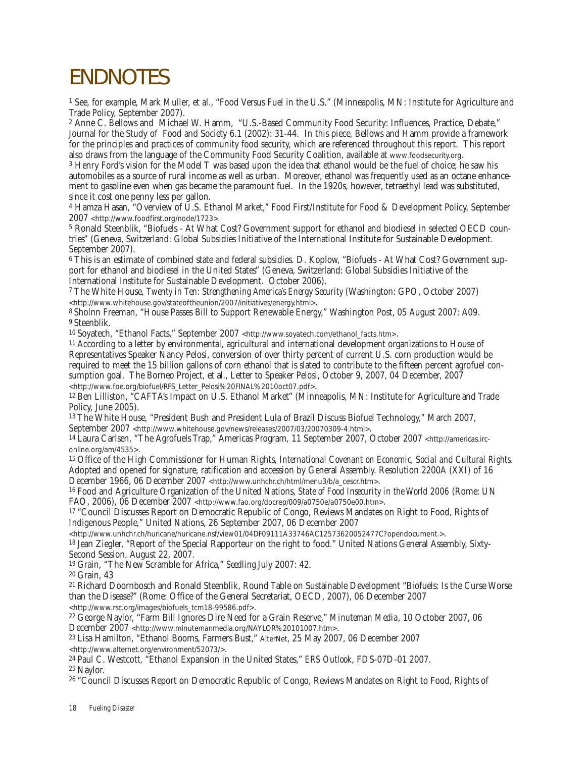# ENDNOTES

<sup>1</sup> See, for example, Mark Muller, et al., "Food Versus Fuel in the U.S." (Minneapolis, MN: Institute for Agriculture and Trade Policy, September 2007).

<sup>2</sup> Anne C. Bellows and Michael W. Hamm, "U.S.-Based Community Food Security: Influences, Practice, Debate," Journal for the Study of Food and Society 6.1 (2002): 31-44. In this piece, Bellows and Hamm provide a framework for the principles and practices of community food security, which are referenced throughout this report. This report also draws from the language of the Community Food Security Coalition, available at *www.foodsecurity.org*.

<sup>3</sup> Henry Ford's vision for the Model T was based upon the idea that ethanol would be the fuel of choice; he saw his automobiles as a source of rural income as well as urban. Moreover, ethanol was frequently used as an octane enhancement to gasoline even when gas became the paramount fuel. In the 1920s, however, tetraethyl lead was substituted, since it cost one penny less per gallon.

<sup>4</sup> Hamza Hasan, "Overview of U.S. Ethanol Market," Food First/Institute for Food & Development Policy, September 2007 *<http://www.foodfirst.org/node/1723>.*

<sup>5</sup> Ronald Steenblik, "Biofuels - At What Cost? Government support for ethanol and biodiesel in selected OECD countries" (Geneva, Switzerland: Global Subsidies Initiative of the International Institute for Sustainable Development. September 2007).

<sup>6</sup> This is an estimate of combined state and federal subsidies. D. Koplow, "Biofuels - At What Cost? Government support for ethanol and biodiesel in the United States" (Geneva, Switzerland: Global Subsidies Initiative of the International Institute for Sustainable Development. October 2006).

7 The White House, *Twenty in Ten: Strengthening America's Energy Security* (Washington: GPO, October 2007) *<http://www.whitehouse.gov/stateoftheunion/2007/initiatives/energy.html>*.

8 Sholnn Freeman, "House Passes Bill to Support Renewable Energy," Washington Post, 05 August 2007: A09. 9 Steenblik.

10 Soyatech, "Ethanol Facts," September 2007 *<http://www.soyatech.com/ethanol\_facts.htm>*.

11 According to a letter by environmental, agricultural and international development organizations to House of Representatives Speaker Nancy Pelosi, conversion of over thirty percent of current U.S. corn production would be required to meet the 15 billion gallons of corn ethanol that is slated to contribute to the fifteen percent agrofuel consumption goal. The Borneo Project, et al., Letter to Speaker Pelosi, October 9, 2007, 04 December, 2007<br><http://www.foe.org/biofuel/RFS Letter Pelosi%20FINAL%2010oct07.pdf>.

<sup>12</sup> Ben Lilliston, "CAFTA's Impact on U.S. Ethanol Market" (Minneapolis, MN: Institute for Agriculture and Trade Policy, June 2005).

13 The White House, "President Bush and President Lula of Brazil Discuss Biofuel Technology," March 2007, September 2007 *<http://www.whitehouse.gov/news/releases/2007/03/20070309-4.html>*.

14 Laura Carlsen, "The Agrofuels Trap," Americas Program, 11 September 2007, October 2007 *<http://americas.irconline.org/am/4535>*.

15 Office of the High Commissioner for Human Rights, *International Covenant on Economic, Social and Cultural Rights*. Adopted and opened for signature, ratification and accession by General Assembly. Resolution 2200A (XXI) of 16 December 1966, 06 December 2007 *<http://www.unhchr.ch/html/menu3/b/a\_cescr.htm>*.

16 Food and Agriculture Organization of the United Nations, *State of Food Insecurity in the World 2006* (Rome: UN FAO, 2006), 06 December 2007 *<http://www.fao.org/docrep/009/a0750e/a0750e00.htm>*.

17 "Council Discusses Report on Democratic Republic of Congo, Reviews Mandates on Right to Food, Rights of Indigenous People," United Nations, 26 September 2007, 06 December 2007<br>http://www.unhchr.ch/huricane/huricane.nsf/view01/04DF09111A33746AC12573620052477C?opendocument.>.

<sup>18</sup> Jean Ziegler, "Report of the Special Rapporteur on the right to food." United Nations General Assembly, Sixty-Second Session. August 22, 2007.

19 Grain, "The New Scramble for Africa," *Seedling* July 2007: 42.

20 Grain, 43

21 Richard Doornbosch and Ronald Steenblik, Round Table on Sustainable Development "Biofuels: Is the Curse Worse than the Disease?" (Rome: Office of the General Secretariat, OECD, 2007), 06 December 2007 *<http://www.rsc.org/images/biofuels\_tcm18-99586.pdf>*.

22 George Naylor, "Farm Bill Ignores Dire Need for a Grain Reserve," *Minuteman Media*, 10 October 2007, 06

December 2007 *<http://www.minutemanmedia.org/NAYLOR%20101007.htm>*. 23 Lisa Hamilton, "Ethanol Booms, Farmers Bust," *AlterNet*, 25 May 2007, 06 December 2007

*<http://www.alternet.org/environment/52073/>*.

24 Paul C. Westcott, "Ethanol Expansion in the United States," *ERS Outlook*, FDS-07D-01 2007.

25 Naylor.

26 "Council Discusses Report on Democratic Republic of Congo, Reviews Mandates on Right to Food, Rights of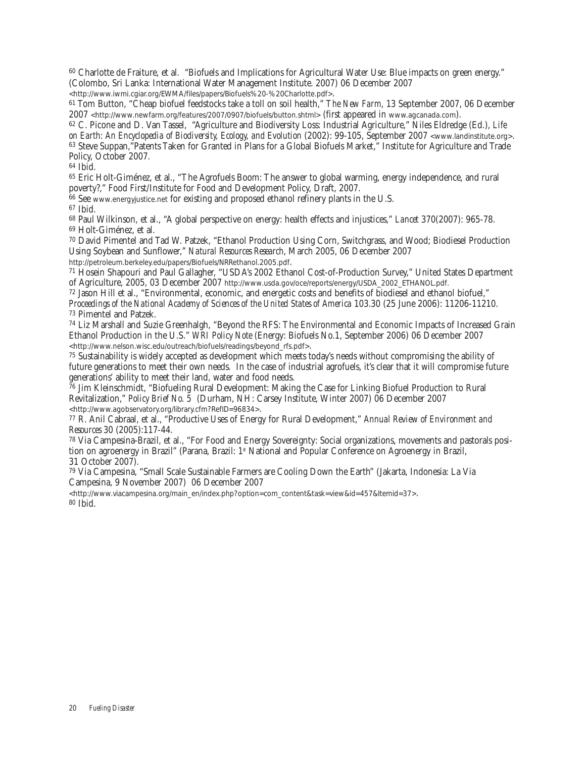<sup>60</sup> Charlotte de Fraiture, et al. "Biofuels and Implications for Agricultural Water Use: Blue impacts on green energy." (Colombo, Sri Lanka: International Water Management Institute. 2007) 06 December 2007<br>
<http://www.iwmi.cqiar.org/EWMA/files/papers/Biofuels%20-%20Charlotte.pdf>.

<sup>61</sup> Tom Button, "Cheap biofuel feedstocks take a toll on soil health," *The New Farm*, 13 September 2007, 06 December 2007 *<http://www.newfarm.org/features/2007/0907/biofuels/button.shtml>* (first appeared in *www.agcanada.com*).

<sup>62</sup> C. Picone and D. Van Tassel, "Agriculture and Biodiversity Loss: Industrial Agriculture," Niles Eldredge (Ed.), *Life on Earth: An Encyclopedia of Biodiversity, Ecology, and Evolution* (2002): 99-105, September 2007 *<www.landinstitute.org>*. <sup>63</sup> Steve Suppan,"Patents Taken for Granted in Plans for a Global Biofuels Market," Institute for Agriculture and Trade Policy, October 2007.

<sup>64</sup> Ibid.

<sup>65</sup> Eric Holt-Giménez, et al., "The Agrofuels Boom: The answer to global warming, energy independence, and rural poverty?," Food First/Institute for Food and Development Policy, Draft, 2007.

<sup>66</sup> See *www.energyjustice.net* for existing and proposed ethanol refinery plants in the U.S.

<sup>67</sup> Ibid.

<sup>68</sup> Paul Wilkinson, et al., "A global perspective on energy: health effects and injustices," *Lancet* 370(2007): 965-78. <sup>69</sup> Holt-Giménez, et al.

<sup>70</sup> David Pimentel and Tad W. Patzek, "Ethanol Production Using Corn, Switchgrass, and Wood; Biodiesel Production Using Soybean and Sunflower," *Natural Resources Research*, March 2005, 06 December 2007 *http://petroleum.berkeley.edu/papers/Biofuels/NRRethanol.2005.pdf*.

<sup>71</sup> Hosein Shapouri and Paul Gallagher, "USDA's 2002 Ethanol Cost-of-Production Survey," United States Department of Agriculture, 2005, 03 December 2007 *http://www.usda.gov/oce/reports/energy/USDA\_2002\_ETHANOL.pdf.*

<sup>72</sup> Jason Hill et al., "Environmental, economic, and energetic costs and benefits of biodiesel and ethanol biofuel," *Proceedings of the National Academy of Sciences of the United States of America* 103.30 (25 June 2006): 11206-11210. <sup>73</sup> Pimentel and Patzek.

<sup>74</sup> Liz Marshall and Suzie Greenhalgh, "Beyond the RFS: The Environmental and Economic Impacts of Increased Grain Ethanol Production in the U.S." *WRI Policy Note* (Energy: Biofuels No.1, September 2006) 06 December 2007 *<http://www.nelson.wisc.edu/outreach/biofuels/readings/beyond\_rfs.pdf>*.

<sup>75</sup> Sustainability is widely accepted as development which meets today's needs without compromising the ability of future generations to meet their own needs. In the case of industrial agrofuels, it's clear that it will compromise future generations' ability to meet their land, water and food needs.

<sup>76</sup> Jim Kleinschmidt, "Biofueling Rural Development: Making the Case for Linking Biofuel Production to Rural Revitalization," *Policy Brief No. 5* (Durham, NH: Carsey Institute, Winter 2007) 06 December 2007 *<http://www.agobservatory.org/library.cfm?RefID=96834>*.

<sup>77</sup> R. Anil Cabraal, et al., "Productive Uses of Energy for Rural Development," *Annual Review of Environment and Resources* 30 (2005):117-44.

<sup>78</sup> Via Campesina-Brazil, et al., "For Food and Energy Sovereignty: Social organizations, movements and pastorals position on agroenergy in Brazil" (Parana, Brazil: 1<sup>st</sup> National and Popular Conference on Agroenergy in Brazil, 31 October 2007).

<sup>79</sup> Via Campesina, "Small Scale Sustainable Farmers are Cooling Down the Earth" (Jakarta, Indonesia: La Via Campesina, 9 November 2007) 06 December 2007

*<http://www.viacampesina.org/main\_en/index.php?option=com\_content&task=view&id=457&Itemid=37>*. 80 Ibid.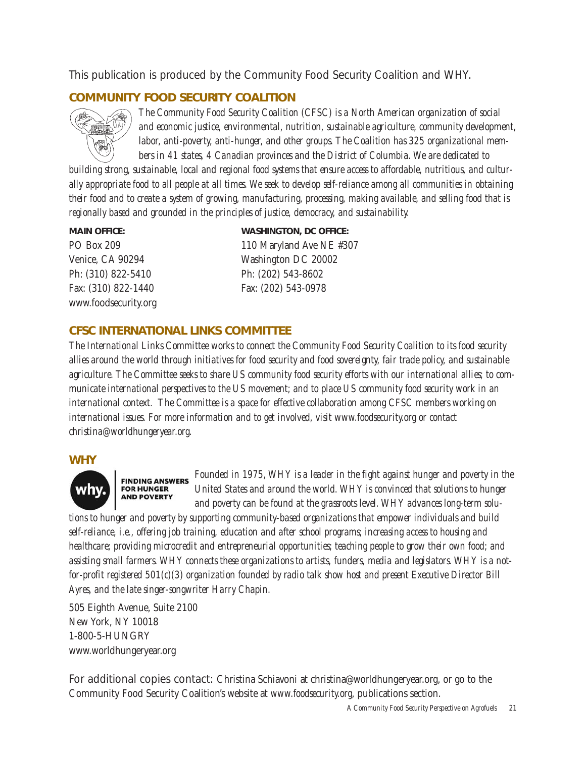This publication is produced by the Community Food Security Coalition and WHY.

# **COMMUNITY FOOD SECURITY COALITION**



*The Community Food Security Coalition (CFSC) is a North American organization of social and economic justice, environmental, nutrition, sustainable agriculture, community development, labor, anti-poverty, anti-hunger, and other groups. The Coalition has 325 organizational members in 41 states, 4 Canadian provinces and the District of Columbia. We are dedicated to*

*building strong, sustainable, local and regional food systems that ensure access to affordable, nutritious, and culturally appropriate food to all people at all times. We seek to develop self-reliance among all communities in obtaining their food and to create a system of growing, manufacturing, processing, making available, and selling food that is regionally based and grounded in the principles of justice, democracy, and sustainability.* 

Ph: (310) 822-5410 Ph: (202) 543-8602 www.foodsecurity.org

**MAIN OFFICE: WASHINGTON, DC OFFICE:** PO Box 209 110 Maryland Ave NE #307 Venice, CA 90294 Washington DC 20002 Fax: (310) 822-1440 Fax: (202) 543-0978

# **CFSC INTERNATIONAL LINKS COMMITTEE**

*The International Links Committee works to connect the Community Food Security Coalition to its food security allies around the world through initiatives for food security and food sovereignty, fair trade policy, and sustainable agriculture. The Committee seeks to share US community food security efforts with our international allies; to communicate international perspectives to the US movement; and to place US community food security work in an international context. The Committee is a space for effective collaboration among CFSC members working on international issues. For more information and to get involved, visit www.foodsecurity.org or contact christina@worldhungeryear.org.* 

### **WHY**



*Founded in 1975, WHY is a leader in the fight against hunger and poverty in the* **FINDING ANSWERS** *United States and around the world. WHY is convinced that solutions to hunger and poverty can be found at the grassroots level. WHY advances long-term solu-*

*tions to hunger and poverty by supporting community-based organizations that empower individuals and build self-reliance, i.e., offering job training, education and after school programs; increasing access to housing and healthcare; providing microcredit and entrepreneurial opportunities; teaching people to grow their own food; and assisting small farmers. WHY connects these organizations to artists, funders, media and legislators. WHY is a notfor-profit registered 501(c)(3) organization founded by radio talk show host and present Executive Director Bill Ayres, and the late singer-songwriter Harry Chapin.*

505 Eighth Avenue, Suite 2100 New York, NY 10018 1-800-5-HUNGRY www.worldhungeryear.org

**FOR HUNGER AND POVERTY** 

For additional copies contact: Christina Schiavoni at christina@worldhungeryear.org, or go to the Community Food Security Coalition's website at *www.foodsecurity.org*, publications section.